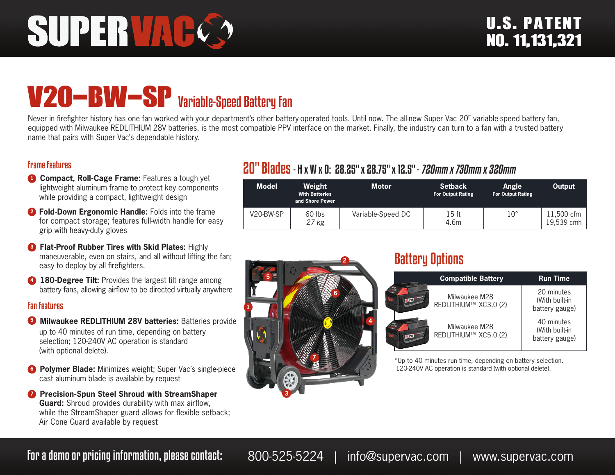# SUPER VAC

# V20-BW-SP<br>Variable-Speed Battery Fan

Never in firefighter history has one fan worked with your department's other battery-operated tools. Until now. The all-new Super Vac 20" variable-speed battery fan, equipped with Milwaukee REDLITHIUM 28V batteries, is the most compatible PPV interface on the market. Finally, the industry can turn to a fan with a trusted battery name that pairs with Super Vac's dependable history.

#### Frame Features

- **1 Compact, Roll-Cage Frame:** Features a tough yet lightweight aluminum frame to protect key components while providing a compact, lightweight design
- **<sup>2</sup> Fold-Down Ergonomic Handle:** Folds into the frame for compact storage; features full-width handle for easy grip with heavy-duty gloves
- **8 Flat-Proof Rubber Tires with Skid Plates: Highly** maneuverable, even on stairs, and all without lifting the fan; easy to deploy by all firefighters.
- **4 180-Degree Tilt:** Provides the largest tilt range among battery fans, allowing airflow to be directed virtually anywhere

#### Fan Features

- **5 Milwaukee REDLITHIUM 28V batteries:** Batteries provide up to 40 minutes of run time, depending on battery selection; 120-240V AC operation is standard (with optional delete).
- **6 Polymer Blade:** Minimizes weight; Super Vac's single-piece cast aluminum blade is available by request
- **<sup>7</sup>** Precision-Spun Steel Shroud with StreamShaper **Guard:** Shroud provides durability with max airflow, while the StreamShaper guard allows for flexible setback; Air Cone Guard available by request

## 20" Blades- H x W x D: 28.25" x 28.75" x 12.5" - 720mm x 730mm x 320mm

| <b>Model</b> | Weight<br><b>With Batteries</b><br>and Shore Power | Motor             | <b>Setback</b><br><b>For Output Rating</b> | Angle<br><b>For Output Rating</b> | Output                    |
|--------------|----------------------------------------------------|-------------------|--------------------------------------------|-----------------------------------|---------------------------|
| V20-BW-SP    | 60 lbs<br>27 kg                                    | Variable-Speed DC | 15 ft<br>4.6m                              | $10^{\circ}$                      | l 1,500 cfm<br>19,539 cmh |



### Battery Options

|     | <b>Compatible Battery</b>              | <b>Run Time</b>                                |  |
|-----|----------------------------------------|------------------------------------------------|--|
| M28 | Milwaukee M28<br>REDLITHIUM™ XC3.0 (2) | 20 minutes<br>(With built-in<br>battery gauge) |  |
| M28 | Milwaukee M28<br>REDLITHIUM™ XC5.0 (2) | 40 minutes<br>(With built-in<br>battery gauge) |  |

\*Up to 40 minutes run time, depending on battery selection. 120-240V AC operation is standard (with optional delete).